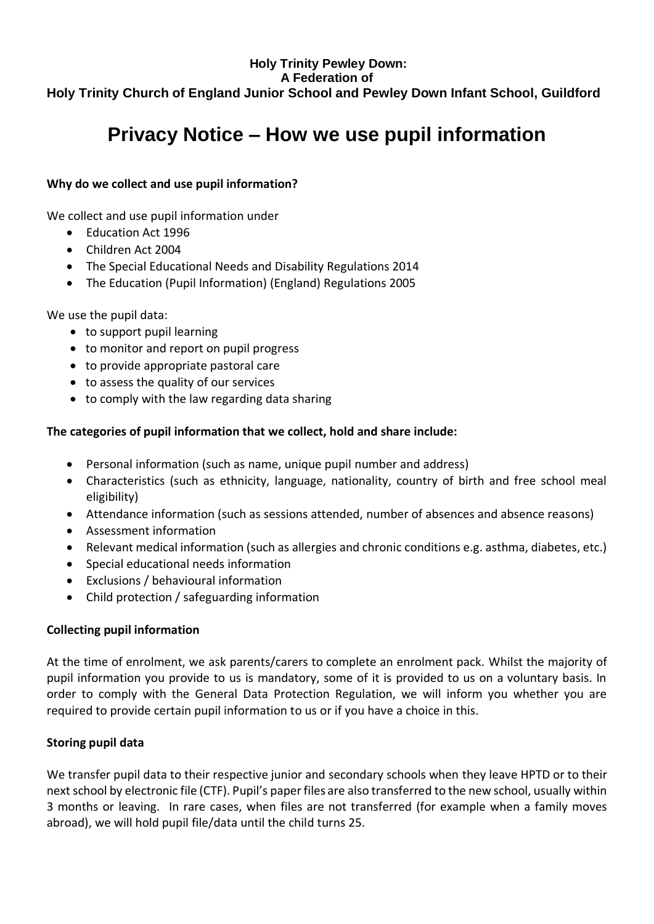# **Holy Trinity Pewley Down: A Federation of Holy Trinity Church of England Junior School and Pewley Down Infant School, Guildford**

# **Privacy Notice – How we use pupil information**

## **Why do we collect and use pupil information?**

We collect and use pupil information under

- Education Act 1996
- Children Act 2004
- The Special Educational Needs and Disability Regulations 2014
- The Education (Pupil Information) (England) Regulations 2005

We use the pupil data:

- to support pupil learning
- to monitor and report on pupil progress
- to provide appropriate pastoral care
- to assess the quality of our services
- to comply with the law regarding data sharing

## **The categories of pupil information that we collect, hold and share include:**

- Personal information (such as name, unique pupil number and address)
- Characteristics (such as ethnicity, language, nationality, country of birth and free school meal eligibility)
- Attendance information (such as sessions attended, number of absences and absence reasons)
- Assessment information
- Relevant medical information (such as allergies and chronic conditions e.g. asthma, diabetes, etc.)
- Special educational needs information
- Exclusions / behavioural information
- Child protection / safeguarding information

## **Collecting pupil information**

At the time of enrolment, we ask parents/carers to complete an enrolment pack. Whilst the majority of pupil information you provide to us is mandatory, some of it is provided to us on a voluntary basis. In order to comply with the General Data Protection Regulation, we will inform you whether you are required to provide certain pupil information to us or if you have a choice in this.

## **Storing pupil data**

We transfer pupil data to their respective junior and secondary schools when they leave HPTD or to their next school by electronic file (CTF). Pupil's paper files are also transferred to the new school, usually within 3 months or leaving. In rare cases, when files are not transferred (for example when a family moves abroad), we will hold pupil file/data until the child turns 25.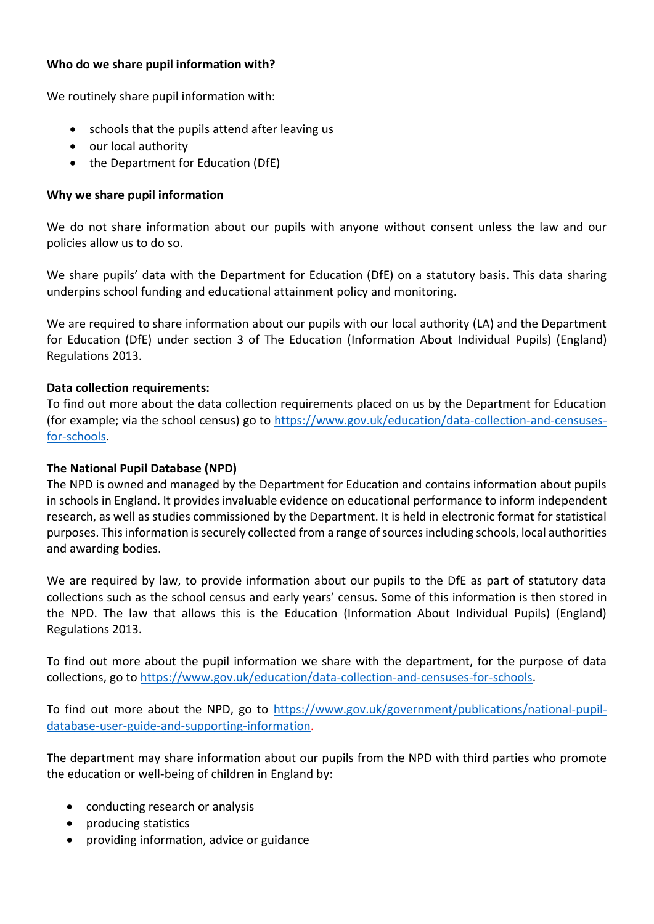#### **Who do we share pupil information with?**

We routinely share pupil information with:

- schools that the pupils attend after leaving us
- our local authority
- the Department for Education (DfE)

#### **Why we share pupil information**

We do not share information about our pupils with anyone without consent unless the law and our policies allow us to do so.

We share pupils' data with the Department for Education (DfE) on a statutory basis. This data sharing underpins school funding and educational attainment policy and monitoring.

We are required to share information about our pupils with our local authority (LA) and the Department for Education (DfE) under section 3 of The Education (Information About Individual Pupils) (England) Regulations 2013.

#### **Data collection requirements:**

To find out more about the data collection requirements placed on us by the Department for Education (for example; via the school census) go to https://www.gov.uk/education/data-collection-and-censusesfor-schools.

#### **The National Pupil Database (NPD)**

The NPD is owned and managed by the Department for Education and contains information about pupils in schools in England. It provides invaluable evidence on educational performance to inform independent research, as well as studies commissioned by the Department. It is held in electronic format for statistical purposes. This information is securely collected from a range of sources including schools, local authorities and awarding bodies.

We are required by law, to provide information about our pupils to the DfE as part of statutory data collections such as the school census and early years' census. Some of this information is then stored in the NPD. The law that allows this is the Education (Information About Individual Pupils) (England) Regulations 2013.

To find out more about the pupil information we share with the department, for the purpose of data collections, go to https://www.gov.uk/education/data-collection-and-censuses-for-schools.

To find out more about the NPD, go to https://www.gov.uk/government/publications/national-pupildatabase-user-guide-and-supporting-information.

The department may share information about our pupils from the NPD with third parties who promote the education or well-being of children in England by:

- conducting research or analysis
- producing statistics
- providing information, advice or guidance